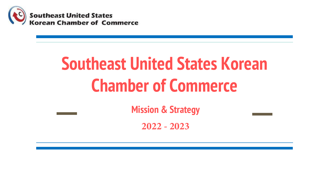

# **Southeast United States Korean Chamber of Commerce**

**Mission & Strategy**

**2022 - 2023**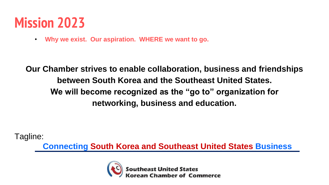## **Mission 2023**

• **Why we exist. Our aspiration. WHERE we want to go.**

**Our Chamber strives to enable collaboration, business and friendships between South Korea and the Southeast United States. We will become recognized as the "go to" organization for networking, business and education.** 

Tagline:

**Connecting South Korea and Southeast United States Business**

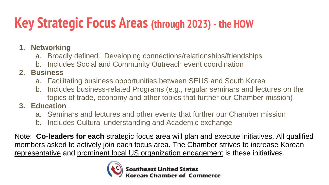## **Key Strategic Focus Areas (through 2023) - the HOW**

- **1. Networking**
	- a. Broadly defined. Developing connections/relationships/friendships
	- b. Includes Social and Community Outreach event coordination

### **2. Business**

- a. Facilitating business opportunities between SEUS and South Korea
- b. Includes business-related Programs (e.g., regular seminars and lectures on the topics of trade, economy and other topics that further our Chamber mission)

### **3. Education**

- a. Seminars and lectures and other events that further our Chamber mission
- b. Includes Cultural understanding and Academic exchange

Note: **Co-leaders for each** strategic focus area will plan and execute initiatives. All qualified members asked to actively join each focus area. The Chamber strives to increase Korean representative and prominent local US organization engagement is these initiatives.

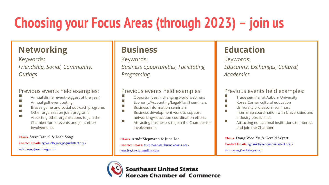## **Choosing your Focus Areas (through 2023) – join us**

## **Networking**

Keywords: *Friendship, Social, Community, Outings* 

#### Previous events held examples:

- Annual dinner event (biggest of the year)
- $\blacksquare$  Annual golf event outing
- Braves game and social outreach programs
- **EXECUTE:** Other organization joint programs
- Attracting other organizations to join the Chamber for co-events and joint effort involvements.

#### **Chairs:Steve Daniel & Leah Song**

**Contact Emails:** sgdaniel@georgiaquickstart.org / leah.c.song@wellsfargo.com

### **Business**

#### Keywords:

*Business opportunities, Facilitating, Programing*

#### Previous events held examples:

- $\blacksquare$  Opportunities in changing world webinars
- Economy/Accounting/Legal/Tariff seminars
- **E** Business information seminars
- Business development work to support networking/education coordination efforts
- $\blacksquare$  Attracting businesses to join the Chamber for involvements.

#### **Chairs: Arndt Siepmann & June Lee**

**Contact Emails:** asiepmann@auburnalabama.org / june.lee@nelsonmullins.com

## **Education**

Keywords: *Educating, Exchanges, Cultural, Academics*

#### Previous events held examples:

- **The Seminar at Auburn University**
- $\blacksquare$  Korea Corner cultural education
- **E** University professors' seminars
- Internship coordination with Universities and industry possibilities
- $\blacksquare$  Attracting educational institutions to interact and join the Chamber

#### **Chairs: Dong Woo Yu & Gerald Wyatt**

**Contact Emails:** sgdaniel@georgiaquickstart.org / leah.c.song@wellsfargo.com